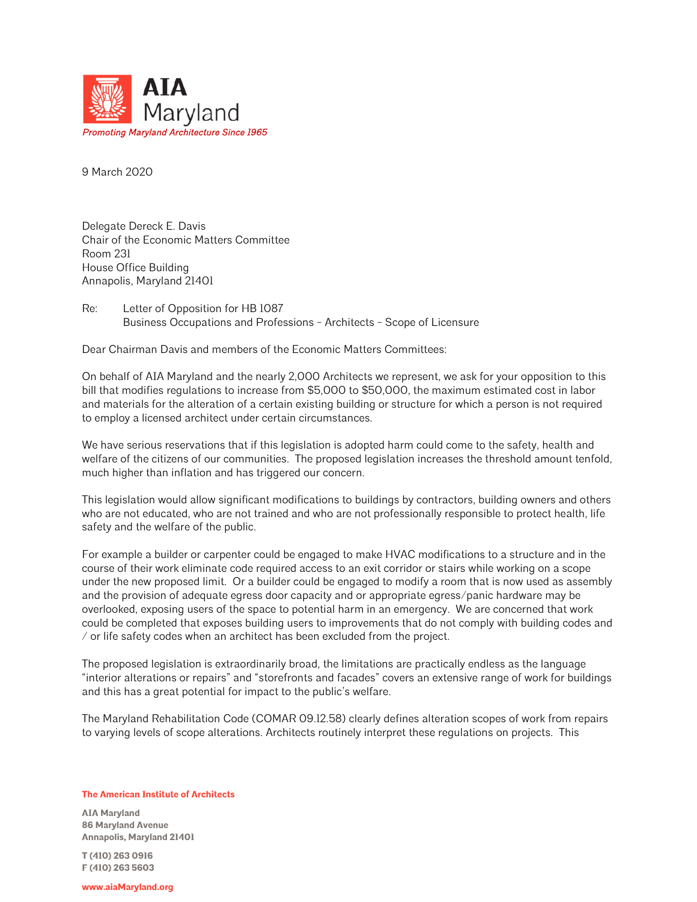

9 March 2020

Delegate Dereck E. Davis Chair of the Economic Matters Committee Room 231 House Office Building Annapolis, Maryland 21401

Re: Letter of Opposition for HB 1087 Business Occupations and Professions - Architects - Scope of Licensure

Dear Chairman Davis and members of the Economic Matters Committees:

On behalf of AIA Maryland and the nearly 2,000 Architects we represent, we ask for your opposition to this bill that modifies regulations to increase from \$5,000 to \$50,000, the maximum estimated cost in labor and materials for the alteration of a certain existing building or structure for which a person is not required to employ a licensed architect under certain circumstances.

We have serious reservations that if this legislation is adopted harm could come to the safety, health and welfare of the citizens of our communities. The proposed legislation increases the threshold amount tenfold, much higher than inflation and has triggered our concern.

This legislation would allow significant modifications to buildings by contractors, building owners and others who are not educated, who are not trained and who are not professionally responsible to protect health, life safety and the welfare of the public.

For example a builder or carpenter could be engaged to make HVAC modifications to a structure and in the course of their work eliminate code required access to an exit corridor or stairs while working on a scope under the new proposed limit. Or a builder could be engaged to modify a room that is now used as assembly and the provision of adequate egress door capacity and or appropriate egress/panic hardware may be overlooked, exposing users of the space to potential harm in an emergency. We are concerned that work could be completed that exposes building users to improvements that do not comply with building codes and / or life safety codes when an architect has been excluded from the project.

The proposed legislation is extraordinarily broad, the limitations are practically endless as the language "interior alterations or repairs" and "storefronts and facades" covers an extensive range of work for buildings and this has a great potential for impact to the public's welfare.

The Maryland Rehabilitation Code (COMAR 09.12.58) clearly defines alteration scopes of work from repairs to varying levels of scope alterations. Architects routinely interpret these regulations on projects. This

## **The American Institute of Architects**

**AIA Maryland 86 Maryland Avenue Annapolis, Maryland 21401**

**T (410) 263 0916 F (410) 263 5603**

**www.aiaMaryland.org**